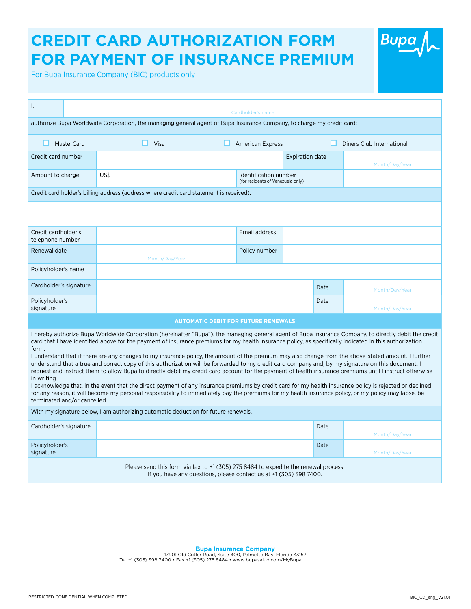## **CREDIT CARD AUTHORIZATION FORM FOR PAYMENT OF INSURANCE PREMIUM**

For Bupa Insurance Company (BIC) products only

| I,                                                                                                                                                                                                                                                                                                                                                                                                                                                                                                                                                                                                                                                                                                                                                                                                                                                                                                                                                                                                                                                                                                                                                                      | Cardholder's name                      |                                                            |                |                           |  |  |  |  |  |  |  |
|-------------------------------------------------------------------------------------------------------------------------------------------------------------------------------------------------------------------------------------------------------------------------------------------------------------------------------------------------------------------------------------------------------------------------------------------------------------------------------------------------------------------------------------------------------------------------------------------------------------------------------------------------------------------------------------------------------------------------------------------------------------------------------------------------------------------------------------------------------------------------------------------------------------------------------------------------------------------------------------------------------------------------------------------------------------------------------------------------------------------------------------------------------------------------|----------------------------------------|------------------------------------------------------------|----------------|---------------------------|--|--|--|--|--|--|--|
| authorize Bupa Worldwide Corporation, the managing general agent of Bupa Insurance Company, to charge my credit card:                                                                                                                                                                                                                                                                                                                                                                                                                                                                                                                                                                                                                                                                                                                                                                                                                                                                                                                                                                                                                                                   |                                        |                                                            |                |                           |  |  |  |  |  |  |  |
| <b>MasterCard</b>                                                                                                                                                                                                                                                                                                                                                                                                                                                                                                                                                                                                                                                                                                                                                                                                                                                                                                                                                                                                                                                                                                                                                       | $\Box$ Visa<br>$\Box$ American Express |                                                            |                | Diners Club International |  |  |  |  |  |  |  |
| Credit card number                                                                                                                                                                                                                                                                                                                                                                                                                                                                                                                                                                                                                                                                                                                                                                                                                                                                                                                                                                                                                                                                                                                                                      | <b>Expiration date</b>                 |                                                            |                | Month/Day/Year            |  |  |  |  |  |  |  |
| Amount to charge                                                                                                                                                                                                                                                                                                                                                                                                                                                                                                                                                                                                                                                                                                                                                                                                                                                                                                                                                                                                                                                                                                                                                        | US\$                                   | Identification number<br>(for residents of Venezuela only) |                |                           |  |  |  |  |  |  |  |
| Credit card holder's billing address (address where credit card statement is received):                                                                                                                                                                                                                                                                                                                                                                                                                                                                                                                                                                                                                                                                                                                                                                                                                                                                                                                                                                                                                                                                                 |                                        |                                                            |                |                           |  |  |  |  |  |  |  |
|                                                                                                                                                                                                                                                                                                                                                                                                                                                                                                                                                                                                                                                                                                                                                                                                                                                                                                                                                                                                                                                                                                                                                                         |                                        |                                                            |                |                           |  |  |  |  |  |  |  |
| Credit cardholder's<br>telephone number                                                                                                                                                                                                                                                                                                                                                                                                                                                                                                                                                                                                                                                                                                                                                                                                                                                                                                                                                                                                                                                                                                                                 |                                        | Email address                                              |                |                           |  |  |  |  |  |  |  |
| Renewal date                                                                                                                                                                                                                                                                                                                                                                                                                                                                                                                                                                                                                                                                                                                                                                                                                                                                                                                                                                                                                                                                                                                                                            | Month/Day/Year                         | Policy number                                              |                |                           |  |  |  |  |  |  |  |
| Policyholder's name                                                                                                                                                                                                                                                                                                                                                                                                                                                                                                                                                                                                                                                                                                                                                                                                                                                                                                                                                                                                                                                                                                                                                     |                                        |                                                            |                |                           |  |  |  |  |  |  |  |
| Cardholder's signature                                                                                                                                                                                                                                                                                                                                                                                                                                                                                                                                                                                                                                                                                                                                                                                                                                                                                                                                                                                                                                                                                                                                                  |                                        | Month/Day/Year                                             |                |                           |  |  |  |  |  |  |  |
| Policyholder's<br>signature                                                                                                                                                                                                                                                                                                                                                                                                                                                                                                                                                                                                                                                                                                                                                                                                                                                                                                                                                                                                                                                                                                                                             |                                        |                                                            | Date           | Month/Day/Year            |  |  |  |  |  |  |  |
| <b>AUTOMATIC DEBIT FOR FUTURE RENEWALS</b>                                                                                                                                                                                                                                                                                                                                                                                                                                                                                                                                                                                                                                                                                                                                                                                                                                                                                                                                                                                                                                                                                                                              |                                        |                                                            |                |                           |  |  |  |  |  |  |  |
| I hereby authorize Bupa Worldwide Corporation (hereinafter "Bupa"), the managing general agent of Bupa Insurance Company, to directly debit the credit<br>card that I have identified above for the payment of insurance premiums for my health insurance policy, as specifically indicated in this authorization<br>form.<br>I understand that if there are any changes to my insurance policy, the amount of the premium may also change from the above-stated amount. I further<br>understand that a true and correct copy of this authorization will be forwarded to my credit card company and, by my signature on this document, I<br>request and instruct them to allow Bupa to directly debit my credit card account for the payment of health insurance premiums until I instruct otherwise<br>in writing.<br>I acknowledge that, in the event that the direct payment of any insurance premiums by credit card for my health insurance policy is rejected or declined<br>for any reason, it will become my personal responsibility to immediately pay the premiums for my health insurance policy, or my policy may lapse, be<br>terminated and/or cancelled. |                                        |                                                            |                |                           |  |  |  |  |  |  |  |
| With my signature below, I am authorizing automatic deduction for future renewals.                                                                                                                                                                                                                                                                                                                                                                                                                                                                                                                                                                                                                                                                                                                                                                                                                                                                                                                                                                                                                                                                                      |                                        |                                                            |                |                           |  |  |  |  |  |  |  |
| Cardholder's signature                                                                                                                                                                                                                                                                                                                                                                                                                                                                                                                                                                                                                                                                                                                                                                                                                                                                                                                                                                                                                                                                                                                                                  |                                        | Date                                                       | Month/Day/Year |                           |  |  |  |  |  |  |  |
| Policyholder's<br>signature                                                                                                                                                                                                                                                                                                                                                                                                                                                                                                                                                                                                                                                                                                                                                                                                                                                                                                                                                                                                                                                                                                                                             |                                        |                                                            | Date           | Month/Day/Year            |  |  |  |  |  |  |  |
| Please send this form via fax to +1 (305) 275 8484 to expedite the renewal process.<br>If you have any questions, please contact us at +1 (305) 398 7400.                                                                                                                                                                                                                                                                                                                                                                                                                                                                                                                                                                                                                                                                                                                                                                                                                                                                                                                                                                                                               |                                        |                                                            |                |                           |  |  |  |  |  |  |  |

**Bupa Insurance Company**<br>17901 Old Cutler Road, Suite 400, Palmetto Bay, Florida 33157<br>Tel. +1 (305) 398 7400 • Fax +1 (305) 275 8484 • www.bupasalud.com/MyBupa

Bupa